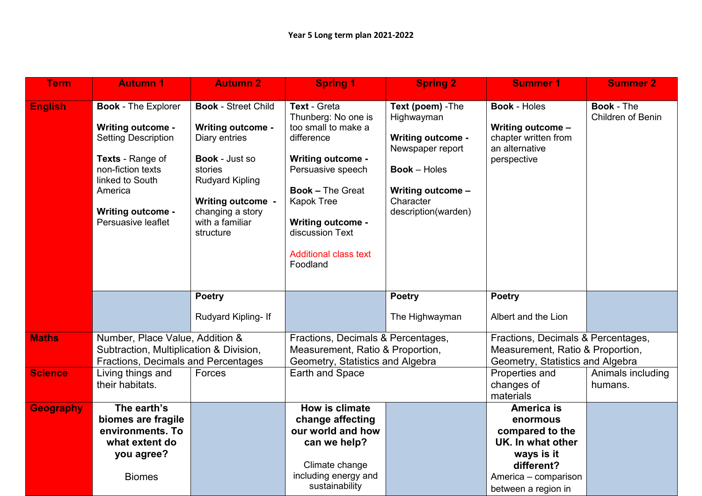| <b>Term</b>      | <b>Autumn 1</b>                                                                                                                                                                                               | <b>Autumn 2</b>                                                                                                                                                                                                       | <b>Spring 1</b>                                                                                                                                                                                                                                                      | <b>Spring 2</b>                                                                                                                                                 | <b>Summer 1</b>                                                                                                                                  | <b>Summer 2</b>                               |
|------------------|---------------------------------------------------------------------------------------------------------------------------------------------------------------------------------------------------------------|-----------------------------------------------------------------------------------------------------------------------------------------------------------------------------------------------------------------------|----------------------------------------------------------------------------------------------------------------------------------------------------------------------------------------------------------------------------------------------------------------------|-----------------------------------------------------------------------------------------------------------------------------------------------------------------|--------------------------------------------------------------------------------------------------------------------------------------------------|-----------------------------------------------|
| <b>English</b>   | <b>Book - The Explorer</b><br><b>Writing outcome -</b><br><b>Setting Description</b><br>Texts - Range of<br>non-fiction texts<br>linked to South<br>America<br><b>Writing outcome -</b><br>Persuasive leaflet | <b>Book - Street Child</b><br><b>Writing outcome -</b><br>Diary entries<br><b>Book - Just so</b><br>stories<br><b>Rudyard Kipling</b><br><b>Writing outcome -</b><br>changing a story<br>with a familiar<br>structure | Text - Greta<br>Thunberg: No one is<br>too small to make a<br>difference<br><b>Writing outcome -</b><br>Persuasive speech<br><b>Book - The Great</b><br><b>Kapok Tree</b><br><b>Writing outcome -</b><br>discussion Text<br><b>Additional class text</b><br>Foodland | Text (poem) - The<br>Highwayman<br><b>Writing outcome -</b><br>Newspaper report<br><b>Book</b> – Holes<br>Writing outcome -<br>Character<br>description(warden) | <b>Book - Holes</b><br>Writing outcome -<br>chapter written from<br>an alternative<br>perspective                                                | <b>Book - The</b><br><b>Children of Benin</b> |
|                  |                                                                                                                                                                                                               | <b>Poetry</b><br>Rudyard Kipling- If                                                                                                                                                                                  |                                                                                                                                                                                                                                                                      | <b>Poetry</b><br>The Highwayman                                                                                                                                 | <b>Poetry</b><br>Albert and the Lion                                                                                                             |                                               |
| <b>Maths</b>     | Number, Place Value, Addition &<br>Subtraction, Multiplication & Division,<br>Fractions, Decimals and Percentages                                                                                             |                                                                                                                                                                                                                       | Fractions, Decimals & Percentages,<br>Measurement, Ratio & Proportion,<br>Geometry, Statistics and Algebra                                                                                                                                                           |                                                                                                                                                                 | Fractions, Decimals & Percentages,<br>Measurement, Ratio & Proportion,<br>Geometry, Statistics and Algebra                                       |                                               |
| <b>Science</b>   | Living things and<br>their habitats.                                                                                                                                                                          | Forces                                                                                                                                                                                                                | <b>Earth and Space</b>                                                                                                                                                                                                                                               |                                                                                                                                                                 | Properties and<br>changes of<br>materials                                                                                                        | Animals including<br>humans.                  |
| <b>Geography</b> | The earth's<br>biomes are fragile<br>environments. To<br>what extent do<br>you agree?<br><b>Biomes</b>                                                                                                        |                                                                                                                                                                                                                       | How is climate<br>change affecting<br>our world and how<br>can we help?<br>Climate change<br>including energy and<br>sustainability                                                                                                                                  |                                                                                                                                                                 | <b>America is</b><br>enormous<br>compared to the<br>UK. In what other<br>ways is it<br>different?<br>America - comparison<br>between a region in |                                               |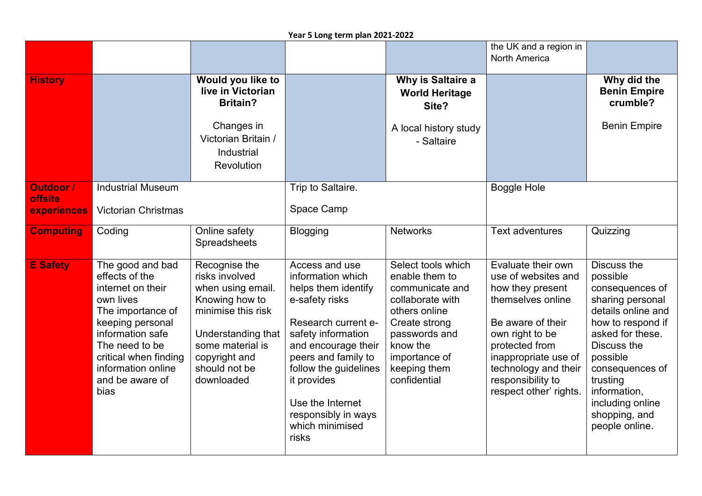## **Year 5 Long term plan 2021-2022**

|                                            |                                                                                                                                                                                                                               |                                                                                                                                                                                        |                                                                                                                                                                                                                                                                                        |                                                                                                                                                                                             | the UK and a region in<br><b>North America</b>                                                                                                                                                                                              |                                                                                                                                                                                                                                                                       |
|--------------------------------------------|-------------------------------------------------------------------------------------------------------------------------------------------------------------------------------------------------------------------------------|----------------------------------------------------------------------------------------------------------------------------------------------------------------------------------------|----------------------------------------------------------------------------------------------------------------------------------------------------------------------------------------------------------------------------------------------------------------------------------------|---------------------------------------------------------------------------------------------------------------------------------------------------------------------------------------------|---------------------------------------------------------------------------------------------------------------------------------------------------------------------------------------------------------------------------------------------|-----------------------------------------------------------------------------------------------------------------------------------------------------------------------------------------------------------------------------------------------------------------------|
| <b>History</b>                             |                                                                                                                                                                                                                               | Would you like to<br>live in Victorian<br><b>Britain?</b>                                                                                                                              |                                                                                                                                                                                                                                                                                        | Why is Saltaire a<br><b>World Heritage</b><br>Site?                                                                                                                                         |                                                                                                                                                                                                                                             | Why did the<br><b>Benin Empire</b><br>crumble?                                                                                                                                                                                                                        |
|                                            |                                                                                                                                                                                                                               | Changes in<br>Victorian Britain /<br>Industrial<br>Revolution                                                                                                                          |                                                                                                                                                                                                                                                                                        | A local history study<br>- Saltaire                                                                                                                                                         |                                                                                                                                                                                                                                             | <b>Benin Empire</b>                                                                                                                                                                                                                                                   |
| Outdoor /<br><b>offsite</b><br>experiences | <b>Industrial Museum</b><br><b>Victorian Christmas</b>                                                                                                                                                                        |                                                                                                                                                                                        | Trip to Saltaire.<br>Space Camp                                                                                                                                                                                                                                                        |                                                                                                                                                                                             | <b>Boggle Hole</b>                                                                                                                                                                                                                          |                                                                                                                                                                                                                                                                       |
| <b>Computing</b>                           | Coding                                                                                                                                                                                                                        | Online safety<br>Spreadsheets                                                                                                                                                          | <b>Blogging</b>                                                                                                                                                                                                                                                                        | <b>Networks</b>                                                                                                                                                                             | <b>Text adventures</b>                                                                                                                                                                                                                      | Quizzing                                                                                                                                                                                                                                                              |
| <b>E</b> Safety                            | The good and bad<br>effects of the<br>internet on their<br>own lives<br>The importance of<br>keeping personal<br>information safe<br>The need to be<br>critical when finding<br>information online<br>and be aware of<br>bias | Recognise the<br>risks involved<br>when using email.<br>Knowing how to<br>minimise this risk<br>Understanding that<br>some material is<br>copyright and<br>should not be<br>downloaded | Access and use<br>information which<br>helps them identify<br>e-safety risks<br>Research current e-<br>safety information<br>and encourage their<br>peers and family to<br>follow the guidelines<br>it provides<br>Use the Internet<br>responsibly in ways<br>which minimised<br>risks | Select tools which<br>enable them to<br>communicate and<br>collaborate with<br>others online<br>Create strong<br>passwords and<br>know the<br>importance of<br>keeping them<br>confidential | Evaluate their own<br>use of websites and<br>how they present<br>themselves online<br>Be aware of their<br>own right to be<br>protected from<br>inappropriate use of<br>technology and their<br>responsibility to<br>respect other' rights. | <b>Discuss the</b><br>possible<br>consequences of<br>sharing personal<br>details online and<br>how to respond if<br>asked for these.<br>Discuss the<br>possible<br>consequences of<br>trusting<br>information,<br>including online<br>shopping, and<br>people online. |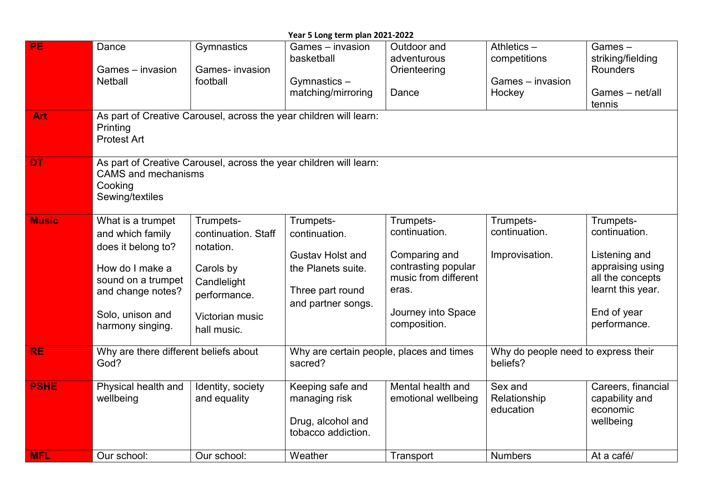| Year 5 Long term plan 2021-2022 |                                                                                                                                                                   |                                                                                                                                    |                                                                                                                       |                                                                                                                                           |                                                          |                                                                                                                                         |  |  |
|---------------------------------|-------------------------------------------------------------------------------------------------------------------------------------------------------------------|------------------------------------------------------------------------------------------------------------------------------------|-----------------------------------------------------------------------------------------------------------------------|-------------------------------------------------------------------------------------------------------------------------------------------|----------------------------------------------------------|-----------------------------------------------------------------------------------------------------------------------------------------|--|--|
| PE                              | Dance<br>Games - invasion<br><b>Netball</b>                                                                                                                       | Gymnastics<br>Games- invasion<br>football                                                                                          | Games - invasion<br>basketball<br>Gymnastics-<br>matching/mirroring                                                   | Outdoor and<br>adventurous<br>Orienteering<br>Dance                                                                                       | Athletics-<br>competitions<br>Games - invasion<br>Hockey | Games-<br>striking/fielding<br><b>Rounders</b><br>Games - net/all<br>tennis                                                             |  |  |
| Art                             | As part of Creative Carousel, across the year children will learn:<br>Printing<br><b>Protest Art</b>                                                              |                                                                                                                                    |                                                                                                                       |                                                                                                                                           |                                                          |                                                                                                                                         |  |  |
| <b>DT</b>                       | As part of Creative Carousel, across the year children will learn:<br><b>CAMS</b> and mechanisms<br>Cooking<br>Sewing/textiles                                    |                                                                                                                                    |                                                                                                                       |                                                                                                                                           |                                                          |                                                                                                                                         |  |  |
| <b>Music</b>                    | What is a trumpet<br>and which family<br>does it belong to?<br>How do I make a<br>sound on a trumpet<br>and change notes?<br>Solo, unison and<br>harmony singing. | Trumpets-<br>continuation. Staff<br>notation.<br>Carols by<br>Candlelight<br>performance.<br><b>Victorian music</b><br>hall music. | Trumpets-<br>continuation.<br><b>Gustav Holst and</b><br>the Planets suite.<br>Three part round<br>and partner songs. | Trumpets-<br>continuation.<br>Comparing and<br>contrasting popular<br>music from different<br>eras.<br>Journey into Space<br>composition. | Trumpets-<br>continuation.<br>Improvisation.             | Trumpets-<br>continuation.<br>Listening and<br>appraising using<br>all the concepts<br>learnt this year.<br>End of year<br>performance. |  |  |
| <b>RE</b>                       | Why are there different beliefs about<br>God?                                                                                                                     |                                                                                                                                    | Why are certain people, places and times<br>sacred?                                                                   |                                                                                                                                           | Why do people need to express their<br>beliefs?          |                                                                                                                                         |  |  |
| <b>PSHE</b>                     | Physical health and<br>wellbeing                                                                                                                                  | Identity, society<br>and equality                                                                                                  | Keeping safe and<br>managing risk<br>Drug, alcohol and<br>tobacco addiction.                                          | Mental health and<br>emotional wellbeing                                                                                                  | Sex and<br>Relationship<br>education                     | Careers, financial<br>capability and<br>economic<br>wellbeing                                                                           |  |  |
| <b>MFL</b>                      | Our school:                                                                                                                                                       | Our school:                                                                                                                        | Weather                                                                                                               | Transport                                                                                                                                 | <b>Numbers</b>                                           | At a café/                                                                                                                              |  |  |